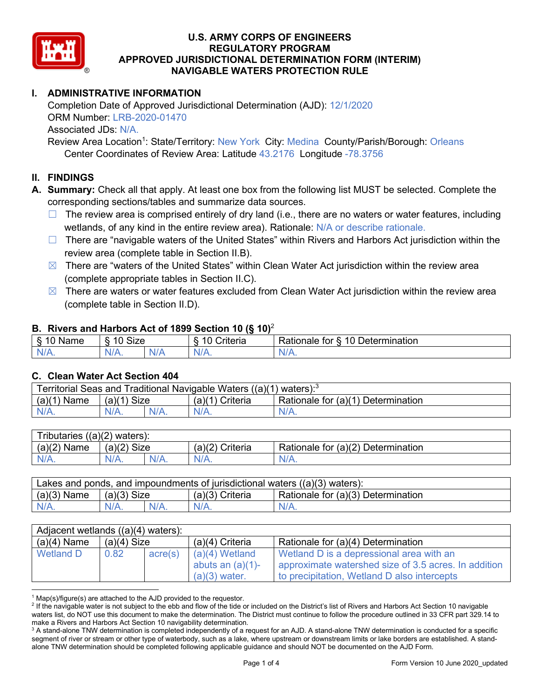

# **I. ADMINISTRATIVE INFORMATION**

Completion Date of Approved Jurisdictional Determination (AJD): 12/1/2020 ORM Number: LRB-2020-01470 Associated JDs: N/A.

Review Area Location<sup>1</sup>: State/Territory: New York City: Medina County/Parish/Borough: Orleans Center Coordinates of Review Area: Latitude 43.2176 Longitude -78.3756

#### **II. FINDINGS**

**A. Summary:** Check all that apply. At least one box from the following list MUST be selected. Complete the corresponding sections/tables and summarize data sources.

- $\Box$  The review area is comprised entirely of dry land (i.e., there are no waters or water features, including wetlands, of any kind in the entire review area). Rationale: N/A or describe rationale.
- $\Box$  There are "navigable waters of the United States" within Rivers and Harbors Act jurisdiction within the review area (complete table in Section II.B).
- $\boxtimes$  There are "waters of the United States" within Clean Water Act jurisdiction within the review area (complete appropriate tables in Section II.C).
- $\boxtimes$  There are waters or water features excluded from Clean Water Act jurisdiction within the review area (complete table in Section II.D).

#### **B. Rivers and Harbors Act of 1899 Section 10 (§ 10)**<sup>2</sup>

|                             |                           |     | $\cdot$                                        |                                                                                |
|-----------------------------|---------------------------|-----|------------------------------------------------|--------------------------------------------------------------------------------|
| <b></b><br>'vame'<br>υ<br>ູ | Size<br>$\overline{A}$    |     | $\overline{A}$ $\overline{C}$<br>`rıterıa<br>. | $\overline{\phantom{a}}$<br>10<br>Jetermination<br>$\sim$<br>tor<br>kationale: |
| N/L                         | $\eta_{\Lambda}$<br>'V/A. | NIA | N/L<br>97 / TV                                 | 11 A<br>n.<br>11 I N.                                                          |

#### **C. Clean Water Act Section 404**

| Territorial Seas and Traditional Navigable Waters ((a)(1)<br>` \ waters): <sup>3</sup> |                |  |                    |                                    |  |  |
|----------------------------------------------------------------------------------------|----------------|--|--------------------|------------------------------------|--|--|
| (a)(1)<br>Name                                                                         | Size<br>(a)(1) |  | (a)(1)<br>Criteria | Rationale for (a)(1) Determination |  |  |
|                                                                                        | $N/A$ .        |  | $N/A$ .            | $N/A$ .                            |  |  |

| Tributaries $((a)(2)$ waters): |               |  |                 |                                    |  |  |  |
|--------------------------------|---------------|--|-----------------|------------------------------------|--|--|--|
| $(a)(2)$ Name                  | $(a)(2)$ Size |  | (a)(2) Criteria | Rationale for (a)(2) Determination |  |  |  |
| $N/A$ .                        | $N/A$ .       |  | $N/A$ .         | $N/A$ .                            |  |  |  |

| Lakes and ponds, and impoundments of jurisdictional waters $((a)(3)$ waters): |               |         |                 |                                    |  |  |
|-------------------------------------------------------------------------------|---------------|---------|-----------------|------------------------------------|--|--|
| $(a)(3)$ Name                                                                 | $(a)(3)$ Size |         | (a)(3) Criteria | Rationale for (a)(3) Determination |  |  |
| $N/A$ .                                                                       |               | $N/A$ . | $N/A$ .         | $N/A$ .                            |  |  |

| Adjacent wetlands $((a)(4)$ waters): |               |         |                     |                                                      |  |  |  |
|--------------------------------------|---------------|---------|---------------------|------------------------------------------------------|--|--|--|
| $(a)(4)$ Name                        | $(a)(4)$ Size |         | $(a)(4)$ Criteria   | Rationale for (a)(4) Determination                   |  |  |  |
| <b>Wetland D</b>                     | 0.82          | acre(s) | $(a)(4)$ Wetland    | Wetland D is a depressional area with an             |  |  |  |
|                                      |               |         | abuts an $(a)(1)$ - | approximate watershed size of 3.5 acres. In addition |  |  |  |
|                                      |               |         | $(a)(3)$ water.     | to precipitation, Wetland D also intercepts          |  |  |  |

 $1$  Map(s)/figure(s) are attached to the AJD provided to the requestor.

<sup>&</sup>lt;sup>2</sup> If the navigable water is not subject to the ebb and flow of the tide or included on the District's list of Rivers and Harbors Act Section 10 navigable waters list, do NOT use this document to make the determination. The District must continue to follow the procedure outlined in 33 CFR part 329.14 to make a Rivers and Harbors Act Section 10 navigability determination.

<sup>&</sup>lt;sup>3</sup> A stand-alone TNW determination is completed independently of a request for an AJD. A stand-alone TNW determination is conducted for a specific segment of river or stream or other type of waterbody, such as a lake, where upstream or downstream limits or lake borders are established. A standalone TNW determination should be completed following applicable guidance and should NOT be documented on the AJD Form.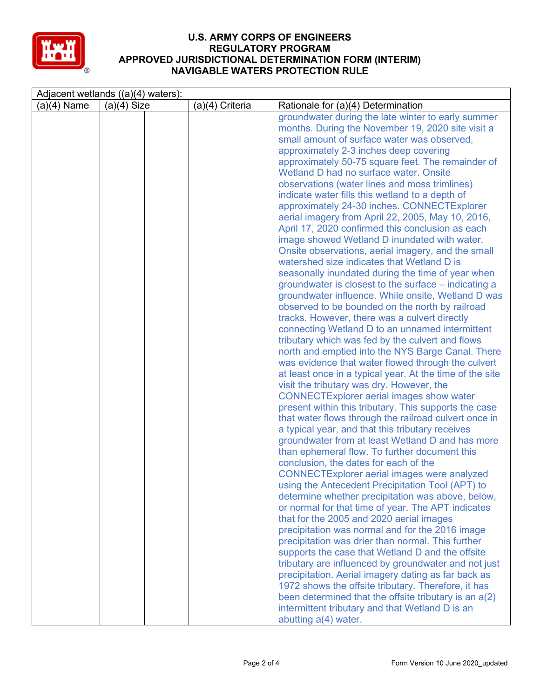

| Adjacent wetlands $((a)(4)$ waters): |               |  |                 |                                                                                                                                                                                                                                                                                                                                                                                                                                                                                                                                                                                                                                                                                                                                                                                                                                                                                                                                                                                                                                                                                                                                                                                                                                                                                                                                                                                                                                                                                                                                                                                                                                                                                                                                                                                                                                                                                                                                                                                                                                                                                                                       |  |  |
|--------------------------------------|---------------|--|-----------------|-----------------------------------------------------------------------------------------------------------------------------------------------------------------------------------------------------------------------------------------------------------------------------------------------------------------------------------------------------------------------------------------------------------------------------------------------------------------------------------------------------------------------------------------------------------------------------------------------------------------------------------------------------------------------------------------------------------------------------------------------------------------------------------------------------------------------------------------------------------------------------------------------------------------------------------------------------------------------------------------------------------------------------------------------------------------------------------------------------------------------------------------------------------------------------------------------------------------------------------------------------------------------------------------------------------------------------------------------------------------------------------------------------------------------------------------------------------------------------------------------------------------------------------------------------------------------------------------------------------------------------------------------------------------------------------------------------------------------------------------------------------------------------------------------------------------------------------------------------------------------------------------------------------------------------------------------------------------------------------------------------------------------------------------------------------------------------------------------------------------------|--|--|
| $(a)(4)$ Name                        | $(a)(4)$ Size |  | (a)(4) Criteria | Rationale for (a)(4) Determination                                                                                                                                                                                                                                                                                                                                                                                                                                                                                                                                                                                                                                                                                                                                                                                                                                                                                                                                                                                                                                                                                                                                                                                                                                                                                                                                                                                                                                                                                                                                                                                                                                                                                                                                                                                                                                                                                                                                                                                                                                                                                    |  |  |
|                                      |               |  |                 | groundwater during the late winter to early summer<br>months. During the November 19, 2020 site visit a<br>small amount of surface water was observed,<br>approximately 2-3 inches deep covering<br>approximately 50-75 square feet. The remainder of<br>Wetland D had no surface water. Onsite<br>observations (water lines and moss trimlines)<br>indicate water fills this wetland to a depth of<br>approximately 24-30 inches. CONNECTExplorer<br>aerial imagery from April 22, 2005, May 10, 2016,<br>April 17, 2020 confirmed this conclusion as each<br>image showed Wetland D inundated with water.<br>Onsite observations, aerial imagery, and the small<br>watershed size indicates that Wetland D is<br>seasonally inundated during the time of year when<br>groundwater is closest to the surface – indicating a<br>groundwater influence. While onsite, Wetland D was<br>observed to be bounded on the north by railroad<br>tracks. However, there was a culvert directly<br>connecting Wetland D to an unnamed intermittent<br>tributary which was fed by the culvert and flows<br>north and emptied into the NYS Barge Canal. There<br>was evidence that water flowed through the culvert<br>at least once in a typical year. At the time of the site<br>visit the tributary was dry. However, the<br><b>CONNECTExplorer aerial images show water</b><br>present within this tributary. This supports the case<br>that water flows through the railroad culvert once in<br>a typical year, and that this tributary receives<br>groundwater from at least Wetland D and has more<br>than ephemeral flow. To further document this<br>conclusion, the dates for each of the<br><b>CONNECTExplorer aerial images were analyzed</b><br>using the Antecedent Precipitation Tool (APT) to<br>determine whether precipitation was above, below,<br>or normal for that time of year. The APT indicates<br>that for the 2005 and 2020 aerial images<br>precipitation was normal and for the 2016 image<br>precipitation was drier than normal. This further<br>supports the case that Wetland D and the offsite |  |  |
|                                      |               |  |                 | tributary are influenced by groundwater and not just<br>precipitation. Aerial imagery dating as far back as<br>1972 shows the offsite tributary. Therefore, it has<br>been determined that the offsite tributary is an $a(2)$                                                                                                                                                                                                                                                                                                                                                                                                                                                                                                                                                                                                                                                                                                                                                                                                                                                                                                                                                                                                                                                                                                                                                                                                                                                                                                                                                                                                                                                                                                                                                                                                                                                                                                                                                                                                                                                                                         |  |  |
|                                      |               |  |                 | intermittent tributary and that Wetland D is an<br>abutting a(4) water.                                                                                                                                                                                                                                                                                                                                                                                                                                                                                                                                                                                                                                                                                                                                                                                                                                                                                                                                                                                                                                                                                                                                                                                                                                                                                                                                                                                                                                                                                                                                                                                                                                                                                                                                                                                                                                                                                                                                                                                                                                               |  |  |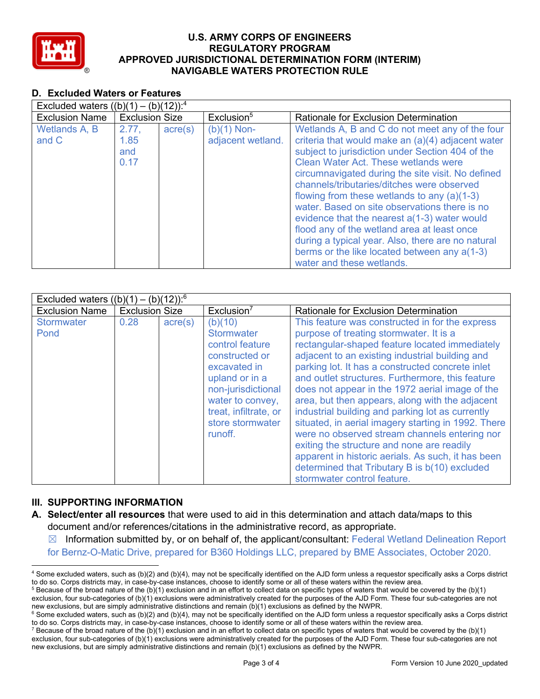

# **D. Excluded Waters or Features**

| Excluded waters $((b)(1) - (b)(12))$ : <sup>4</sup> |                              |                  |                                    |                                                                                                                                                                                                                                                                                                                                                                                                                                                                                                                                                                                                                                               |  |  |
|-----------------------------------------------------|------------------------------|------------------|------------------------------------|-----------------------------------------------------------------------------------------------------------------------------------------------------------------------------------------------------------------------------------------------------------------------------------------------------------------------------------------------------------------------------------------------------------------------------------------------------------------------------------------------------------------------------------------------------------------------------------------------------------------------------------------------|--|--|
| <b>Exclusion Name</b>                               | <b>Exclusion Size</b>        |                  | Exclusion <sup>5</sup>             | Rationale for Exclusion Determination                                                                                                                                                                                                                                                                                                                                                                                                                                                                                                                                                                                                         |  |  |
| Wetlands A, B<br>and C                              | 2.77.<br>1.85<br>and<br>0.17 | $\text{acre}(s)$ | $(b)(1)$ Non-<br>adjacent wetland. | Wetlands A, B and C do not meet any of the four<br>criteria that would make an (a)(4) adjacent water<br>subject to jurisdiction under Section 404 of the<br><b>Clean Water Act. These wetlands were</b><br>circumnavigated during the site visit. No defined<br>channels/tributaries/ditches were observed<br>flowing from these wetlands to any $(a)(1-3)$<br>water. Based on site observations there is no<br>evidence that the nearest a(1-3) water would<br>flood any of the wetland area at least once<br>during a typical year. Also, there are no natural<br>berms or the like located between any a(1-3)<br>water and these wetlands. |  |  |

| Excluded waters $((b)(1) - (b)(12))$ : <sup>6</sup> |                       |                  |                                                                                                                                                                                                       |                                                                                                                                                                                                                                                                                                                                                                                                                                                                                                                                                                                                                                                                                                                                                               |  |
|-----------------------------------------------------|-----------------------|------------------|-------------------------------------------------------------------------------------------------------------------------------------------------------------------------------------------------------|---------------------------------------------------------------------------------------------------------------------------------------------------------------------------------------------------------------------------------------------------------------------------------------------------------------------------------------------------------------------------------------------------------------------------------------------------------------------------------------------------------------------------------------------------------------------------------------------------------------------------------------------------------------------------------------------------------------------------------------------------------------|--|
| <b>Exclusion Name</b>                               | <b>Exclusion Size</b> |                  | Exclusion <sup>7</sup>                                                                                                                                                                                | <b>Rationale for Exclusion Determination</b>                                                                                                                                                                                                                                                                                                                                                                                                                                                                                                                                                                                                                                                                                                                  |  |
| <b>Stormwater</b><br>Pond                           | 0.28                  | $\text{acre}(s)$ | (b)(10)<br><b>Stormwater</b><br>control feature<br>constructed or<br>excavated in<br>upland or in a<br>non-jurisdictional<br>water to convey,<br>treat, infiltrate, or<br>store stormwater<br>runoff. | This feature was constructed in for the express<br>purpose of treating stormwater. It is a<br>rectangular-shaped feature located immediately<br>adjacent to an existing industrial building and<br>parking lot. It has a constructed concrete inlet<br>and outlet structures. Furthermore, this feature<br>does not appear in the 1972 aerial image of the<br>area, but then appears, along with the adjacent<br>industrial building and parking lot as currently<br>situated, in aerial imagery starting in 1992. There<br>were no observed stream channels entering nor<br>exiting the structure and none are readily<br>apparent in historic aerials. As such, it has been<br>determined that Tributary B is b(10) excluded<br>stormwater control feature. |  |

## **III. SUPPORTING INFORMATION**

- **A. Select/enter all resources** that were used to aid in this determination and attach data/maps to this document and/or references/citations in the administrative record, as appropriate.
	- $\boxtimes$  Information submitted by, or on behalf of, the applicant/consultant: Federal Wetland Delineation Report for Bernz-O-Matic Drive, prepared for B360 Holdings LLC, prepared by BME Associates, October 2020.
- <sup>4</sup> Some excluded waters, such as (b)(2) and (b)(4), may not be specifically identified on the AJD form unless a requestor specifically asks a Corps district to do so. Corps districts may, in case-by-case instances, choose to identify some or all of these waters within the review area.

 $5$  Because of the broad nature of the (b)(1) exclusion and in an effort to collect data on specific types of waters that would be covered by the (b)(1) exclusion, four sub-categories of (b)(1) exclusions were administratively created for the purposes of the AJD Form. These four sub-categories are not new exclusions, but are simply administrative distinctions and remain (b

<sup>&</sup>lt;sup>6</sup> Some excluded waters, such as (b)(2) and (b)(4), may not be specifically identified on the AJD form unless a requestor specifically asks a Corps district to do so. Corps districts may, in case-by-case instances, choose to identify some or all of these waters within the review area.

<sup>&</sup>lt;sup>7</sup> Because of the broad nature of the (b)(1) exclusion and in an effort to collect data on specific types of waters that would be covered by the (b)(1) exclusion, four sub-categories of (b)(1) exclusions were administratively created for the purposes of the AJD Form. These four sub-categories are not new exclusions, but are simply administrative distinctions and remain (b)(1) exclusions as defined by the NWPR.